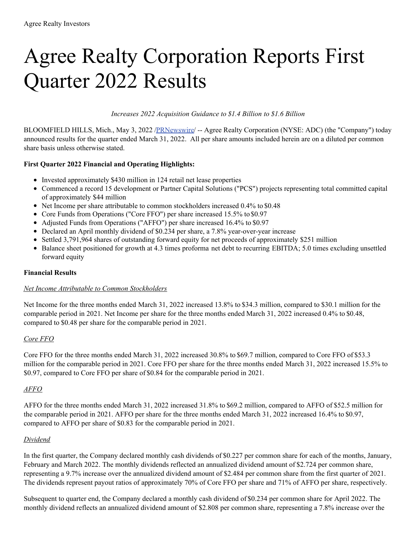# Agree Realty Corporation Reports First Quarter 2022 Results

*Increases 2022 Acquisition Guidance to \$1.4 Billion to \$1.6 Billion*

BLOOMFIELD HILLS, Mich., May 3, 2022 [/PRNewswire](http://www.prnewswire.com/)/ -- Agree Realty Corporation (NYSE: ADC) (the "Company") today announced results for the quarter ended March 31, 2022. All per share amounts included herein are on a diluted per common share basis unless otherwise stated.

#### **First Quarter 2022 Financial and Operating Highlights:**

- Invested approximately \$430 million in 124 retail net lease properties
- Commenced a record 15 development or Partner Capital Solutions ("PCS") projects representing total committed capital of approximately \$44 million
- Net Income per share attributable to common stockholders increased 0.4% to \$0.48
- Core Funds from Operations ("Core FFO") per share increased 15.5% to \$0.97
- Adjusted Funds from Operations ("AFFO") per share increased 16.4% to \$0.97
- Declared an April monthly dividend of \$0.234 per share, a 7.8% year-over-year increase
- Settled 3,791,964 shares of outstanding forward equity for net proceeds of approximately \$251 million
- Balance sheet positioned for growth at 4.3 times proforma net debt to recurring EBITDA; 5.0 times excluding unsettled forward equity

#### **Financial Results**

#### *Net Income Attributable to Common Stockholders*

Net Income for the three months ended March 31, 2022 increased 13.8% to \$34.3 million, compared to \$30.1 million for the comparable period in 2021. Net Income per share for the three months ended March 31, 2022 increased 0.4% to \$0.48, compared to \$0.48 per share for the comparable period in 2021.

#### *Core FFO*

Core FFO for the three months ended March 31, 2022 increased 30.8% to \$69.7 million, compared to Core FFO of \$53.3 million for the comparable period in 2021. Core FFO per share for the three months ended March 31, 2022 increased 15.5% to \$0.97, compared to Core FFO per share of \$0.84 for the comparable period in 2021.

#### *AFFO*

AFFO for the three months ended March 31, 2022 increased 31.8% to \$69.2 million, compared to AFFO of \$52.5 million for the comparable period in 2021. AFFO per share for the three months ended March 31, 2022 increased 16.4% to \$0.97, compared to AFFO per share of \$0.83 for the comparable period in 2021.

#### *Dividend*

In the first quarter, the Company declared monthly cash dividends of \$0.227 per common share for each of the months, January, February and March 2022. The monthly dividends reflected an annualized dividend amount of \$2.724 per common share, representing a 9.7% increase over the annualized dividend amount of \$2.484 per common share from the first quarter of 2021. The dividends represent payout ratios of approximately 70% of Core FFO per share and 71% of AFFO per share, respectively.

Subsequent to quarter end, the Company declared a monthly cash dividend of \$0.234 per common share for April 2022. The monthly dividend reflects an annualized dividend amount of \$2.808 per common share, representing a 7.8% increase over the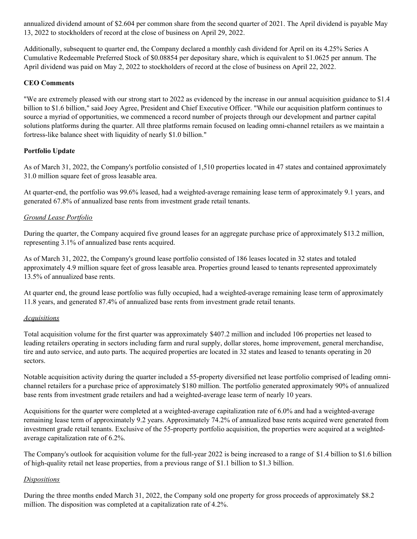annualized dividend amount of \$2.604 per common share from the second quarter of 2021. The April dividend is payable May 13, 2022 to stockholders of record at the close of business on April 29, 2022.

Additionally, subsequent to quarter end, the Company declared a monthly cash dividend for April on its 4.25% Series A Cumulative Redeemable Preferred Stock of \$0.08854 per depositary share, which is equivalent to \$1.0625 per annum. The April dividend was paid on May 2, 2022 to stockholders of record at the close of business on April 22, 2022.

#### **CEO Comments**

"We are extremely pleased with our strong start to 2022 as evidenced by the increase in our annual acquisition guidance to \$1.4 billion to \$1.6 billion," said Joey Agree, President and Chief Executive Officer. "While our acquisition platform continues to source a myriad of opportunities, we commenced a record number of projects through our development and partner capital solutions platforms during the quarter. All three platforms remain focused on leading omni-channel retailers as we maintain a fortress-like balance sheet with liquidity of nearly \$1.0 billion."

#### **Portfolio Update**

As of March 31, 2022, the Company's portfolio consisted of 1,510 properties located in 47 states and contained approximately 31.0 million square feet of gross leasable area.

At quarter-end, the portfolio was 99.6% leased, had a weighted-average remaining lease term of approximately 9.1 years, and generated 67.8% of annualized base rents from investment grade retail tenants.

#### *Ground Lease Portfolio*

During the quarter, the Company acquired five ground leases for an aggregate purchase price of approximately \$13.2 million, representing 3.1% of annualized base rents acquired.

As of March 31, 2022, the Company's ground lease portfolio consisted of 186 leases located in 32 states and totaled approximately 4.9 million square feet of gross leasable area. Properties ground leased to tenants represented approximately 13.5% of annualized base rents.

At quarter end, the ground lease portfolio was fully occupied, had a weighted-average remaining lease term of approximately 11.8 years, and generated 87.4% of annualized base rents from investment grade retail tenants.

#### *Acquisitions*

Total acquisition volume for the first quarter was approximately \$407.2 million and included 106 properties net leased to leading retailers operating in sectors including farm and rural supply, dollar stores, home improvement, general merchandise, tire and auto service, and auto parts. The acquired properties are located in 32 states and leased to tenants operating in 20 sectors.

Notable acquisition activity during the quarter included a 55-property diversified net lease portfolio comprised of leading omnichannel retailers for a purchase price of approximately \$180 million. The portfolio generated approximately 90% of annualized base rents from investment grade retailers and had a weighted-average lease term of nearly 10 years.

Acquisitions for the quarter were completed at a weighted-average capitalization rate of 6.0% and had a weighted-average remaining lease term of approximately 9.2 years. Approximately 74.2% of annualized base rents acquired were generated from investment grade retail tenants. Exclusive of the 55-property portfolio acquisition, the properties were acquired at a weightedaverage capitalization rate of 6.2%.

The Company's outlook for acquisition volume for the full-year 2022 is being increased to a range of \$1.4 billion to \$1.6 billion of high-quality retail net lease properties, from a previous range of \$1.1 billion to \$1.3 billion.

#### *Dispositions*

During the three months ended March 31, 2022, the Company sold one property for gross proceeds of approximately \$8.2 million. The disposition was completed at a capitalization rate of 4.2%.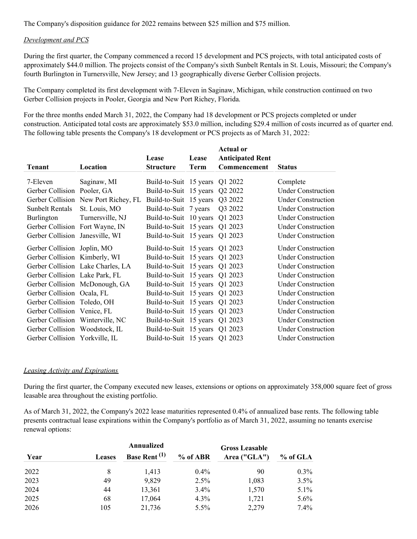The Company's disposition guidance for 2022 remains between \$25 million and \$75 million.

#### *Development and PCS*

During the first quarter, the Company commenced a record 15 development and PCS projects, with total anticipated costs of approximately \$44.0 million. The projects consist of the Company's sixth Sunbelt Rentals in St. Louis, Missouri; the Company's fourth Burlington in Turnersville, New Jersey; and 13 geographically diverse Gerber Collision projects.

The Company completed its first development with 7-Eleven in Saginaw, Michigan, while construction continued on two Gerber Collision projects in Pooler, Georgia and New Port Richey, Florida.

For the three months ended March 31, 2022, the Company had 18 development or PCS projects completed or under construction. Anticipated total costs are approximately \$53.0 million, including \$29.4 million of costs incurred as of quarter end. The following table presents the Company's 18 development or PCS projects as of March 31, 2022:

|                                  |                                      |                                |             | <b>Actual or</b>        |                           |
|----------------------------------|--------------------------------------|--------------------------------|-------------|-------------------------|---------------------------|
|                                  |                                      | Lease                          | Lease       | <b>Anticipated Rent</b> |                           |
| Tenant                           | Location                             | <b>Structure</b>               | <b>Term</b> | Commencement            | <b>Status</b>             |
| 7-Eleven                         | Saginaw, MI                          | Build-to-Suit 15 years Q1 2022 |             |                         | Complete                  |
| Gerber Collision Pooler, GA      |                                      | Build-to-Suit 15 years Q2 2022 |             |                         | <b>Under Construction</b> |
|                                  | Gerber Collision New Port Richey, FL | Build-to-Suit 15 years Q3 2022 |             |                         | <b>Under Construction</b> |
| <b>Sunbelt Rentals</b>           | St. Louis, MO                        | Build-to-Suit 7 years          |             | Q3 2022                 | <b>Under Construction</b> |
| <b>Burlington</b>                | Turnersville, NJ                     | Build-to-Suit 10 years Q1 2023 |             |                         | <b>Under Construction</b> |
| Gerber Collision Fort Wayne, IN  |                                      | Build-to-Suit 15 years Q1 2023 |             |                         | <b>Under Construction</b> |
| Gerber Collision Janesville, WI  |                                      | Build-to-Suit 15 years Q1 2023 |             |                         | <b>Under Construction</b> |
| Gerber Collision Joplin, MO      |                                      | Build-to-Suit 15 years Q1 2023 |             |                         | <b>Under Construction</b> |
| Gerber Collision Kimberly, WI    |                                      | Build-to-Suit 15 years Q1 2023 |             |                         | <b>Under Construction</b> |
|                                  | Gerber Collision Lake Charles, LA    | Build-to-Suit 15 years Q1 2023 |             |                         | <b>Under Construction</b> |
| Gerber Collision Lake Park, FL   |                                      | Build-to-Suit 15 years Q1 2023 |             |                         | <b>Under Construction</b> |
|                                  | Gerber Collision McDonough, GA       | Build-to-Suit 15 years Q1 2023 |             |                         | <b>Under Construction</b> |
| Gerber Collision Ocala, FL       |                                      | Build-to-Suit 15 years Q1 2023 |             |                         | <b>Under Construction</b> |
| Gerber Collision Toledo, OH      |                                      | Build-to-Suit 15 years Q1 2023 |             |                         | <b>Under Construction</b> |
| Gerber Collision Venice, FL      |                                      | Build-to-Suit 15 years Q1 2023 |             |                         | <b>Under Construction</b> |
| Gerber Collision Winterville, NC |                                      | Build-to-Suit 15 years Q1 2023 |             |                         | <b>Under Construction</b> |
| Gerber Collision Woodstock, IL   |                                      | Build-to-Suit 15 years Q1 2023 |             |                         | <b>Under Construction</b> |
| Gerber Collision Yorkville, IL   |                                      | Build-to-Suit 15 years Q1 2023 |             |                         | <b>Under Construction</b> |

#### *Leasing Activity and Expirations*

During the first quarter, the Company executed new leases, extensions or options on approximately 358,000 square feet of gross leasable area throughout the existing portfolio.

As of March 31, 2022, the Company's 2022 lease maturities represented 0.4% of annualized base rents. The following table presents contractual lease expirations within the Company's portfolio as of March 31, 2022, assuming no tenants exercise renewal options:

|      |               | Annualized                      |             | <b>Gross Leasable</b> |          |
|------|---------------|---------------------------------|-------------|-----------------------|----------|
| Year | <b>Leases</b> | <b>Base Rent</b> <sup>(1)</sup> | $\%$ of ABR | Area ("GLA")          | % of GLA |
| 2022 | 8             | 1.413                           | $0.4\%$     | 90                    | $0.3\%$  |
| 2023 | 49            | 9,829                           | 2.5%        | 1,083                 | 3.5%     |
| 2024 | 44            | 13,361                          | $3.4\%$     | 1,570                 | $5.1\%$  |
| 2025 | 68            | 17,064                          | 4.3%        | 1,721                 | $5.6\%$  |
| 2026 | 105           | 21,736                          | $5.5\%$     | 2,279                 | $7.4\%$  |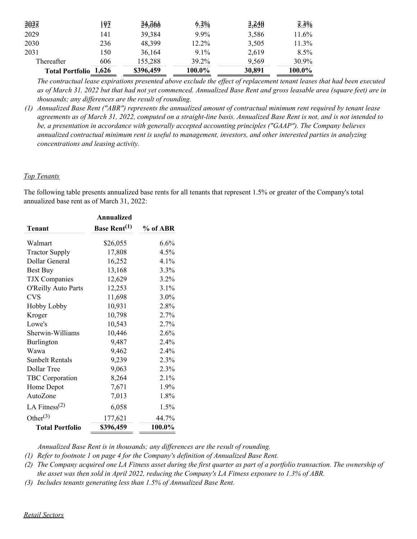| 2028                   | 103   | 24,060    | 6.3%     | 2,620  | 8.3%     |
|------------------------|-------|-----------|----------|--------|----------|
| 2029                   | 141   | 39,384    | $9.9\%$  | 3,586  | 11.6%    |
| 2030                   | 236   | 48,399    | $12.2\%$ | 3,505  | 11.3%    |
| 2031                   | 150   | 36,164    | $9.1\%$  | 2,619  | $8.5\%$  |
| Thereafter             | 606   | 155.288   | 39.2%    | 9.569  | $30.9\%$ |
| <b>Total Portfolio</b> | 1,626 | \$396,459 | 100.0%   | 30,891 | 100.0%   |

The contractual lease expirations presented above exclude the effect of replacement tenant leases that had been executed as of March 31, 2022 but that had not yet commenced. Annualized Base Rent and gross leasable area (square feet) are in *thousands; any dif erences are the result of rounding.*

(1) Annualized Base Rent ("ABR") represents the annualized amount of contractual minimum rent required by tenant lease agreements as of March 31, 2022, computed on a straight-line basis. Annualized Base Rent is not, and is not intended to *be, a presentation in accordance with generally accepted accounting principles ("GAAP"). The Company believes annualized contractual minimum rent is useful to management, investors, and other interested parties in analyzing concentrations and leasing activity.*

#### *Top Tenants*

The following table presents annualized base rents for all tenants that represent 1.5% or greater of the Company's total annualized base rent as of March 31, 2022:

|                                        | Annualized                      |          |
|----------------------------------------|---------------------------------|----------|
| Tenant                                 | <b>Base Rent</b> <sup>(1)</sup> | % of ABR |
| Walmart                                | \$26,055                        | $6.6\%$  |
| <b>Tractor Supply</b>                  | 17,808                          | 4.5%     |
| Dollar General                         | 16,252                          | 4.1%     |
| Best Buy                               | 13,168                          | $3.3\%$  |
| <b>TJX</b> Companies                   | 12,629                          | 3.2%     |
| <b>O'Reilly Auto Parts</b>             | 12,253                          | 3.1%     |
| CVS                                    | 11,698                          | $3.0\%$  |
| Hobby Lobby                            | 10,931                          | 2.8%     |
| Kroger                                 | 10,798                          | 2.7%     |
| Lowe's                                 | 10,543                          | 2.7%     |
| Sherwin-Williams                       | 10,446                          | $2.6\%$  |
| Burlington                             | 9,487                           | $2.4\%$  |
| Wawa                                   | 9,462                           | 2.4%     |
| <b>Sunbelt Rentals</b>                 | 9,239                           | $2.3\%$  |
| Dollar Tree                            | 9,063                           | 2.3%     |
| <b>TBC</b> Corporation                 | 8,264                           | 2.1%     |
| Home Depot                             | 7,671                           | 1.9%     |
| AutoZone                               | 7,013                           | 1.8%     |
| LA Fitness <sup><math>(2)</math></sup> | 6,058                           | 1.5%     |
| Other $^{(3)}$                         | 177,621                         | 44.7%    |
| <b>Total Portfolio</b>                 | \$396,459                       | 100.0%   |

*Annualized Base Rent is in thousands; any dif erences are the result of rounding.*

*(1) Refer to footnote 1 on page 4 for the Company's definition of Annualized Base Rent.*

(2) The Company acquired one LA Fitness asset during the first quarter as part of a portfolio transaction. The ownership of *the asset was then sold in April 2022, reducing the Company's LA Fitness exposure to 1.3% of ABR.*

*(3) Includes tenants generating less than 1.5% of Annualized Base Rent.*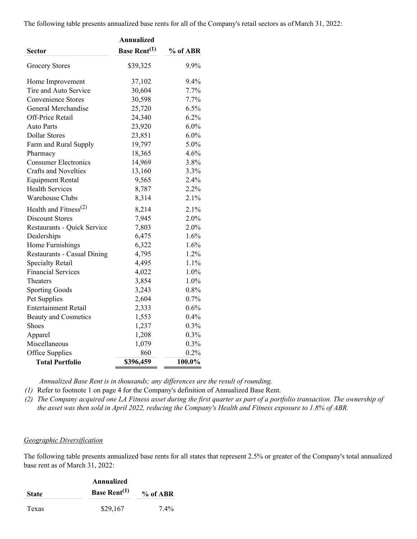The following table presents annualized base rents for all of the Company's retail sectors as ofMarch 31, 2022:

|                                    | <b>Annualized</b>               |          |
|------------------------------------|---------------------------------|----------|
| Sector                             | <b>Base Rent</b> <sup>(1)</sup> | % of ABR |
| <b>Grocery Stores</b>              | \$39,325                        | 9.9%     |
| Home Improvement                   | 37,102                          | 9.4%     |
| Tire and Auto Service              | 30,604                          | 7.7%     |
| <b>Convenience Stores</b>          | 30,598                          | 7.7%     |
| General Merchandise                | 25,720                          | 6.5%     |
| <b>Off-Price Retail</b>            | 24,340                          | 6.2%     |
| <b>Auto Parts</b>                  | 23,920                          | $6.0\%$  |
| <b>Dollar Stores</b>               | 23,851                          | $6.0\%$  |
| Farm and Rural Supply              | 19,797                          | 5.0%     |
| Pharmacy                           | 18,365                          | 4.6%     |
| <b>Consumer Electronics</b>        | 14,969                          | 3.8%     |
| <b>Crafts and Novelties</b>        | 13,160                          | 3.3%     |
| <b>Equipment Rental</b>            | 9,565                           | 2.4%     |
| <b>Health Services</b>             | 8,787                           | 2.2%     |
| <b>Warehouse Clubs</b>             | 8,314                           | 2.1%     |
| Health and Fitness <sup>(2)</sup>  | 8,214                           | 2.1%     |
| <b>Discount Stores</b>             | 7,945                           | 2.0%     |
| <b>Restaurants - Quick Service</b> | 7,803                           | 2.0%     |
| Dealerships                        | 6,475                           | 1.6%     |
| Home Furnishings                   | 6,322                           | 1.6%     |
| <b>Restaurants - Casual Dining</b> | 4,795                           | 1.2%     |
| <b>Specialty Retail</b>            | 4,495                           | 1.1%     |
| <b>Financial Services</b>          | 4,022                           | 1.0%     |
| Theaters                           | 3,854                           | 1.0%     |
| <b>Sporting Goods</b>              | 3,243                           | 0.8%     |
| Pet Supplies                       | 2,604                           | 0.7%     |
| <b>Entertainment Retail</b>        | 2,333                           | 0.6%     |
| <b>Beauty and Cosmetics</b>        | 1,553                           | 0.4%     |
| <b>Shoes</b>                       | 1,237                           | 0.3%     |
| Apparel                            | 1,208                           | 0.3%     |
| Miscellaneous                      | 1,079                           | 0.3%     |
| Office Supplies                    | 860                             | 0.2%     |
| <b>Total Portfolio</b>             | \$396,459                       | 100.0%   |

*Annualized Base Rent is in thousands; any dif erences are the result of rounding.*

*(1)* Refer to footnote 1 on page 4 for the Company's definition of Annualized Base Rent.

(2) The Company acquired one LA Fitness asset during the first quarter as part of a portfolio transaction. The ownership of the asset was then sold in April 2022, reducing the Company's Health and Fitness exposure to 1.8% of ABR.

#### *Geographic Diversification*

The following table presents annualized base rents for all states that represent 2.5% or greater of the Company's total annualized base rent as of March 31, 2022:

|              | Annualized             |            |
|--------------|------------------------|------------|
| <b>State</b> | <b>Base Rent</b> $(1)$ | $%$ of ABR |
| Texas        | \$29,167               | $7.4\%$    |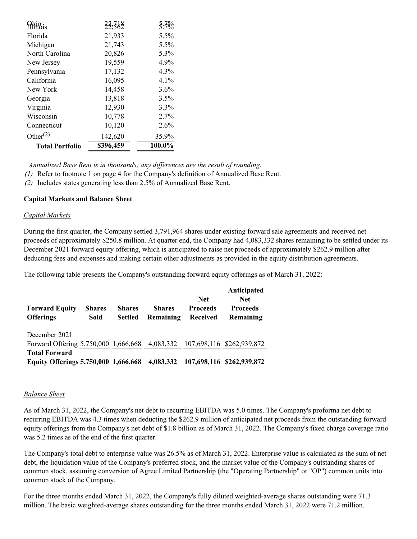|        | 35.9%                      |
|--------|----------------------------|
| 10,120 | $2.6\%$                    |
| 10,778 | $2.7\%$                    |
| 12,930 | $3.3\%$                    |
| 13,818 | 3.5%                       |
| 14,458 | 3.6%                       |
| 16,095 | $4.1\%$                    |
| 17,132 | 4.3%                       |
| 19,559 | 4.9%                       |
| 20,826 | 5.3%                       |
| 21,743 | 5.5%                       |
| 21,933 | 5.5%                       |
| 22.362 | $\frac{5}{3}.\frac{70}{6}$ |
|        | 142,620                    |

*Annualized Base Rent is in thousands; any dif erences are the result of rounding.*

*(1)* Refer to footnote 1 on page 4 for the Company's definition of Annualized Base Rent.

*(2)* Includes states generating less than 2.5% of Annualized Base Rent.

#### **Capital Markets and Balance Sheet**

#### *Capital Markets*

During the first quarter, the Company settled 3,791,964 shares under existing forward sale agreements and received net proceeds of approximately \$250.8 million. At quarter end, the Company had 4,083,332 shares remaining to be settled under its December 2021 forward equity offering, which is anticipated to raise net proceeds of approximately \$262.9 million after deducting fees and expenses and making certain other adjustments as provided in the equity distribution agreements.

The following table presents the Company's outstanding forward equity offerings as of March 31, 2022:

| <b>Forward Equity</b><br><b>Offerings</b> | <b>Shares</b><br><b>Sold</b> | <b>Shares</b><br><b>Settled</b> | <b>Shares</b><br>Remaining | <b>Net</b><br><b>Proceeds</b><br><b>Received</b> | Anticipated<br><b>Net</b><br><b>Proceeds</b><br>Remaining |
|-------------------------------------------|------------------------------|---------------------------------|----------------------------|--------------------------------------------------|-----------------------------------------------------------|
| December 2021                             |                              |                                 |                            |                                                  |                                                           |
| Forward Offering 5,750,000 1,666,668      |                              |                                 |                            |                                                  | 4,083,332 107,698,116 \$262,939,872                       |
| <b>Total Forward</b>                      |                              |                                 |                            |                                                  |                                                           |
| Equity Offerings 5,750,000 1,666,668      |                              |                                 | 4,083,332                  |                                                  | 107,698,116 \$262,939,872                                 |

#### *Balance Sheet*

As of March 31, 2022, the Company's net debt to recurring EBITDA was 5.0 times. The Company's proforma net debt to recurring EBITDA was 4.3 times when deducting the \$262.9 million of anticipated net proceeds from the outstanding forward equity offerings from the Company's net debt of \$1.8 billion as of March 31, 2022. The Company's fixed charge coverage ratio was 5.2 times as of the end of the first quarter.

The Company's total debt to enterprise value was 26.5% as of March 31, 2022. Enterprise value is calculated as the sum of net debt, the liquidation value of the Company's preferred stock, and the market value of the Company's outstanding shares of common stock, assuming conversion of Agree Limited Partnership (the "Operating Partnership" or "OP") common units into common stock of the Company.

For the three months ended March 31, 2022, the Company's fully diluted weighted-average shares outstanding were 71.3 million. The basic weighted-average shares outstanding for the three months ended March 31, 2022 were 71.2 million.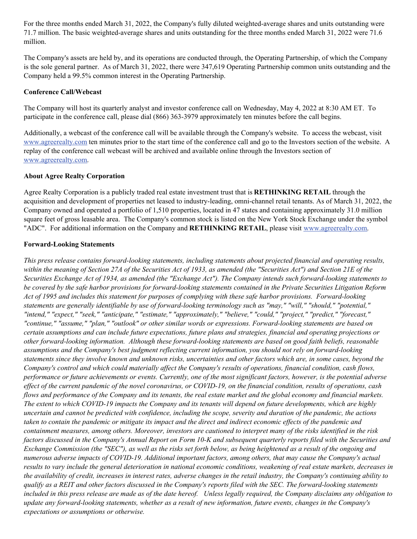For the three months ended March 31, 2022, the Company's fully diluted weighted-average shares and units outstanding were 71.7 million. The basic weighted-average shares and units outstanding for the three months ended March 31, 2022 were 71.6 million.

The Company's assets are held by, and its operations are conducted through, the Operating Partnership, of which the Company is the sole general partner. As of March 31, 2022, there were 347,619 Operating Partnership common units outstanding and the Company held a 99.5% common interest in the Operating Partnership.

#### **Conference Call/Webcast**

The Company will host its quarterly analyst and investor conference call on Wednesday, May 4, 2022 at 8:30 AM ET. To participate in the conference call, please dial (866) 363-3979 approximately ten minutes before the call begins.

Additionally, a webcast of the conference call will be available through the Company's website. To access the webcast, visit [www.agreerealty.com](https://c212.net/c/link/?t=0&l=en&o=3524739-1&h=3717807414&u=http%3A%2F%2Fwww.agreerealty.com%2F&a=www.agreerealty.com) ten minutes prior to the start time of the conference call and go to the Investors section of the website. A replay of the conference call webcast will be archived and available online through the Investors section of [www.agreerealty.com](https://c212.net/c/link/?t=0&l=en&o=3524739-1&h=3717807414&u=http%3A%2F%2Fwww.agreerealty.com%2F&a=www.agreerealty.com).

#### **About Agree Realty Corporation**

Agree Realty Corporation is a publicly traded real estate investment trust that is **RETHINKING RETAIL** through the acquisition and development of properties net leased to industry-leading, omni-channel retail tenants. As of March 31, 2022, the Company owned and operated a portfolio of 1,510 properties, located in 47 states and containing approximately 31.0 million square feet of gross leasable area. The Company's common stock is listed on the New York Stock Exchange under the symbol "ADC". For additional information on the Company and **RETHINKING RETAIL**, please visit [www.agreerealty.com](https://c212.net/c/link/?t=0&l=en&o=3524739-1&h=3717807414&u=http%3A%2F%2Fwww.agreerealty.com%2F&a=www.agreerealty.com).

#### **Forward-Looking Statements**

*This press release contains forward-looking statements, including statements about projected financial and operating results,* within the meaning of Section 27A of the Securities Act of 1933, as amended (the "Securities Act") and Section 21E of the Securities Exchange Act of 1934, as amended (the "Exchange Act"). The Company intends such forward-looking statements to be covered by the safe harbor provisions for forward-looking statements contained in the Private Securities Litigation Reform Act of 1995 and includes this statement for purposes of complying with these safe harbor provisions. Forward-looking statements are generally identifiable by use of forward-looking terminology such as "may," "will," "should," "potential," *"intend," "expect," "seek," "anticipate," "estimate," "approximately," "believe," "could," "project," "predict," "forecast," "continue," "assume," "plan," "outlook" or other similar words or expressions. Forward-looking statements are based on* certain assumptions and can include future expectations, future plans and strategies, financial and operating projections or *other forward-looking information. Although these forward-looking statements are based on good faith beliefs, reasonable assumptions and the Company's best judgment reflecting current information, you should not rely on forward-looking* statements since they involve known and unknown risks, uncertainties and other factors which are, in some cases, beyond the Company's control and which could materially affect the Company's results of operations, financial condition, cash flows, performance or future achievements or events. Currently, one of the most significant factors, however, is the potential adverse effect of the current pandemic of the novel coronavirus, or COVID-19, on the financial condition, results of operations, cash flows and performance of the Company and its tenants, the real estate market and the global economy and financial markets. The extent to which COVID-19 impacts the Company and its tenants will depend on future developments, which are highly uncertain and cannot be predicted with confidence, including the scope, severity and duration of the pandemic, the actions taken to contain the pandemic or mitigate its impact and the direct and indirect economic effects of the pandemic and containment measures, among others. Moreover, investors are cautioned to interpret many of the risks identified in the risk factors discussed in the Company's Annual Report on Form 10-K and subsequent quarterly reports filed with the Securities and Exchange Commission (the "SEC"), as well as the risks set forth below, as being heightened as a result of the ongoing and numerous adverse impacts of COVID-19. Additional important factors, among others, that may cause the Company's actual results to vary include the general deterioration in national economic conditions, weakening of real estate markets, decreases in the availability of credit, increases in interest rates, adverse changes in the retail industry, the Company's continuing ability to qualify as a REIT and other factors discussed in the Company's reports filed with the SEC. The forward-looking statements included in this press release are made as of the date hereof. Unless legally required, the Company disclaims any obligation to update any forward-looking statements, whether as a result of new information, future events, changes in the Company's *expectations or assumptions or otherwise.*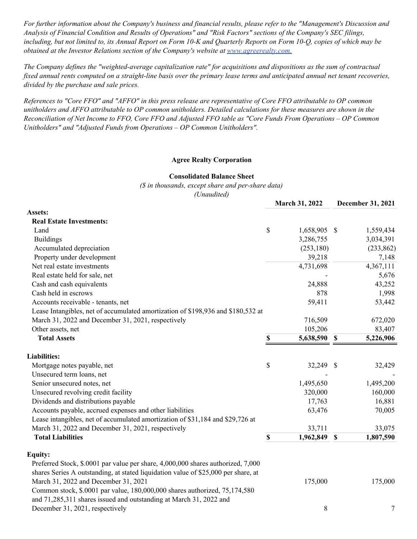For further information about the Company's business and financial results, please refer to the "Management's Discussion and Analysis of Financial Condition and Results of Operations" and "Risk Factors" sections of the Company's SEC filings, including, but not limited to, its Annual Report on Form 10-K and Quarterly Reports on Form 10-Q, copies of which may be *obtained at the Investor Relations section of the Company's website at [www.agreerealty.com.](file:///\\agreefs1.agreerealty.local\Data\Corporate\Press Releases\2020\Q3 2020\Earnings Release\www.agreerealty.com.)*

The Company defines the "weighted-average capitalization rate" for acquisitions and dispositions as the sum of contractual fixed annual rents computed on a straight-line basis over the primary lease terms and anticipated annual net tenant recoveries, *divided by the purchase and sale prices.*

References to "Core FFO" and "AFFO" in this press release are representative of Core FFO attributable to OP common unitholders and AFFO attributable to OP common unitholders. Detailed calculations for these measures are shown in the Reconciliation of Net Income to FFO, Core FFO and Adjusted FFO table as "Core Funds From Operations – OP Common *Unitholders" and "Adjusted Funds from Operations – OP Common Unitholders".*

#### **Agree Realty Corporation**

#### **Consolidated Balance Sheet**

*(\$ in thousands, except share and per-share data)*

**March 31, 2022 December 31, 2021**

*(Unaudited)*

|                                                                                    | <b>NIAFCH 31, 2022</b> |                           | December 31, 2021 |
|------------------------------------------------------------------------------------|------------------------|---------------------------|-------------------|
| Assets:                                                                            |                        |                           |                   |
| <b>Real Estate Investments:</b>                                                    |                        |                           |                   |
| Land                                                                               | \$<br>1,658,905 \$     |                           | 1,559,434         |
| <b>Buildings</b>                                                                   | 3,286,755              |                           | 3,034,391         |
| Accumulated depreciation                                                           | (253, 180)             |                           | (233, 862)        |
| Property under development                                                         | 39,218                 |                           | 7,148             |
| Net real estate investments                                                        | 4,731,698              |                           | 4,367,111         |
| Real estate held for sale, net                                                     |                        |                           | 5,676             |
| Cash and cash equivalents                                                          | 24,888                 |                           | 43,252            |
| Cash held in escrows                                                               | 878                    |                           | 1,998             |
| Accounts receivable - tenants, net                                                 | 59,411                 |                           | 53,442            |
| Lease Intangibles, net of accumulated amortization of \$198,936 and \$180,532 at   |                        |                           |                   |
| March 31, 2022 and December 31, 2021, respectively                                 | 716,509                |                           | 672,020           |
| Other assets, net                                                                  | 105,206                |                           | 83,407            |
| <b>Total Assets</b>                                                                | \$<br>5,638,590        | $\boldsymbol{\mathsf{S}}$ | 5,226,906         |
| <b>Liabilities:</b>                                                                |                        |                           |                   |
| Mortgage notes payable, net                                                        | \$<br>32,249           | -S                        | 32,429            |
| Unsecured term loans, net                                                          |                        |                           |                   |
| Senior unsecured notes, net                                                        | 1,495,650              |                           | 1,495,200         |
| Unsecured revolving credit facility                                                | 320,000                |                           | 160,000           |
| Dividends and distributions payable                                                | 17,763                 |                           | 16,881            |
| Accounts payable, accrued expenses and other liabilities                           | 63,476                 |                           | 70,005            |
| Lease intangibles, net of accumulated amortization of \$31,184 and \$29,726 at     |                        |                           |                   |
| March 31, 2022 and December 31, 2021, respectively                                 | 33,711                 |                           | 33,075            |
| <b>Total Liabilities</b>                                                           | \$<br>1,962,849        | $\mathbf S$               | 1,807,590         |
| <b>Equity:</b>                                                                     |                        |                           |                   |
| Preferred Stock, \$.0001 par value per share, 4,000,000 shares authorized, 7,000   |                        |                           |                   |
| shares Series A outstanding, at stated liquidation value of \$25,000 per share, at |                        |                           |                   |
| March 31, 2022 and December 31, 2021                                               | 175,000                |                           | 175,000           |
| Common stock, \$.0001 par value, 180,000,000 shares authorized, 75,174,580         |                        |                           |                   |
| and 71,285,311 shares issued and outstanding at March 31, 2022 and                 |                        |                           |                   |
| December 31, 2021, respectively                                                    | 8                      |                           | 7                 |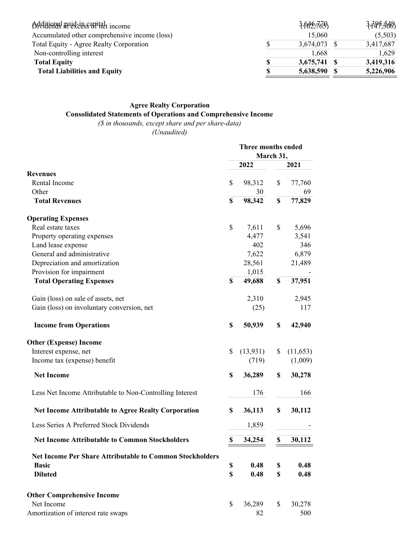| Additional maid-in-capital income              |   | 3.662.769      | 3,325,568 |
|------------------------------------------------|---|----------------|-----------|
| Accumulated other comprehensive income (loss)  |   | 15,060         | (5,503)   |
| <b>Total Equity - Agree Realty Corporation</b> |   | 3,674,073 \$   | 3,417,687 |
| Non-controlling interest                       |   | 1.668          | 1.629     |
| <b>Total Equity</b>                            |   | $3,675,741$ \$ | 3,419,316 |
| <b>Total Liabilities and Equity</b>            | S | 5,638,590 \$   | 5,226,906 |

#### **Agree Realty Corporation**

#### **Consolidated Statements of Operations and Comprehensive Income**

*(\$ in thousands, except share and per share-data)*

*(Unaudited)*

|                                                                 | Three months ended<br>March 31, |           |              |          |  |
|-----------------------------------------------------------------|---------------------------------|-----------|--------------|----------|--|
|                                                                 |                                 | 2022      |              | 2021     |  |
| <b>Revenues</b>                                                 |                                 |           |              |          |  |
| Rental Income                                                   | \$                              | 98,312    | $\mathbb{S}$ | 77,760   |  |
| Other                                                           |                                 | 30        |              | 69       |  |
| <b>Total Revenues</b>                                           | \$                              | 98,342    | \$           | 77,829   |  |
| <b>Operating Expenses</b>                                       |                                 |           |              |          |  |
| Real estate taxes                                               | \$                              | 7,611     | \$           | 5,696    |  |
| Property operating expenses                                     |                                 | 4,477     |              | 3,541    |  |
| Land lease expense                                              |                                 | 402       |              | 346      |  |
| General and administrative                                      |                                 | 7,622     |              | 6,879    |  |
| Depreciation and amortization                                   |                                 | 28,561    |              | 21,489   |  |
| Provision for impairment                                        |                                 | 1,015     |              |          |  |
| <b>Total Operating Expenses</b>                                 | \$                              | 49,688    | $\mathbf S$  | 37,951   |  |
| Gain (loss) on sale of assets, net                              |                                 | 2,310     |              | 2,945    |  |
| Gain (loss) on involuntary conversion, net                      |                                 | (25)      |              | 117      |  |
| <b>Income from Operations</b>                                   | \$                              | 50,939    | \$           | 42,940   |  |
| <b>Other (Expense) Income</b>                                   |                                 |           |              |          |  |
| Interest expense, net                                           | \$                              | (13, 931) | \$           | (11,653) |  |
| Income tax (expense) benefit                                    |                                 | (719)     |              | (1,009)  |  |
| <b>Net Income</b>                                               | \$                              | 36,289    | \$           | 30,278   |  |
| Less Net Income Attributable to Non-Controlling Interest        |                                 | 176       |              | 166      |  |
| Net Income Attributable to Agree Realty Corporation             | \$                              | 36,113    | \$           | 30,112   |  |
| Less Series A Preferred Stock Dividends                         |                                 | 1,859     |              |          |  |
| <b>Net Income Attributable to Common Stockholders</b>           | \$                              | 34,254    | \$           | 30,112   |  |
| <b>Net Income Per Share Attributable to Common Stockholders</b> |                                 |           |              |          |  |
| <b>Basic</b>                                                    | \$                              | 0.48      | \$           | 0.48     |  |
| <b>Diluted</b>                                                  | \$                              | 0.48      | \$           | 0.48     |  |
| <b>Other Comprehensive Income</b>                               |                                 |           |              |          |  |
| Net Income                                                      | \$                              | 36,289    | \$           | 30,278   |  |
| Amortization of interest rate swaps                             |                                 | 82        |              | 500      |  |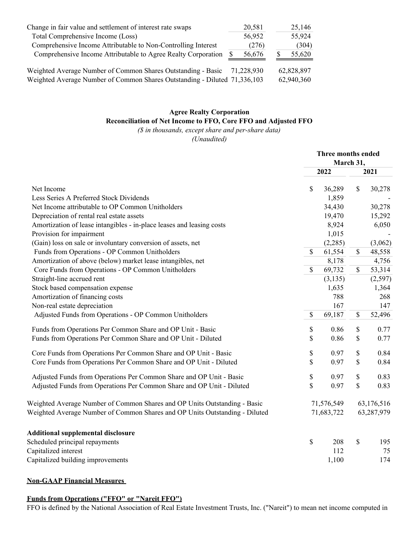| Change in fair value and settlement of interest rate swaps                | 20,581     |   | 25,146     |
|---------------------------------------------------------------------------|------------|---|------------|
| Total Comprehensive Income (Loss)                                         | 56,952     |   | 55,924     |
| Comprehensive Income Attributable to Non-Controlling Interest             | (276)      |   | (304)      |
| Comprehensive Income Attributable to Agree Realty Corporation             | 56,676     | S | 55,620     |
| Weighted Average Number of Common Shares Outstanding - Basic              | 71.228.930 |   | 62,828,897 |
| Weighted Average Number of Common Shares Outstanding - Diluted 71,336,103 |            |   | 62,940,360 |

#### **Agree Realty Corporation Reconciliation of Net Income to FFO, Core FFO and Adjusted FFO**

#### *(\$ in thousands, except share and per-share data)*

*(Unaudited)*

| 2022<br>2021<br>\$<br>36,289<br>\$<br>30,278<br>Net Income<br>1,859<br>Less Series A Preferred Stock Dividends<br>34,430<br>30,278<br>Net Income attributable to OP Common Unitholders<br>Depreciation of rental real estate assets<br>19,470<br>15,292<br>Amortization of lease intangibles - in-place leases and leasing costs<br>8,924<br>6,050<br>Provision for impairment<br>1,015<br>(3,062)<br>(Gain) loss on sale or involuntary conversion of assets, net<br>(2,285)<br>Funds from Operations - OP Common Unitholders<br>$\$$<br>61,554<br>\$<br>48,558<br>Amortization of above (below) market lease intangibles, net<br>8,178<br>4,756<br>$\mathcal{S}$<br>Core Funds from Operations - OP Common Unitholders<br>$\mathbb{S}$<br>69,732<br>53,314<br>Straight-line accrued rent<br>(3, 135)<br>(2,597)<br>Stock based compensation expense<br>1,635<br>1,364<br>Amortization of financing costs<br>788<br>268<br>167<br>Non-real estate depreciation<br>147<br>$\mathbb S$<br>69,187<br>Adjusted Funds from Operations - OP Common Unitholders<br>$\mathbb S$<br>52,496<br>Funds from Operations Per Common Share and OP Unit - Basic<br>\$<br>0.86<br>\$<br>0.77<br>\$<br>\$<br>Funds from Operations Per Common Share and OP Unit - Diluted<br>0.86<br>0.77<br>\$<br>\$<br>Core Funds from Operations Per Common Share and OP Unit - Basic<br>0.97<br>0.84<br>\$<br>Core Funds from Operations Per Common Share and OP Unit - Diluted<br>0.97<br>\$<br>0.84<br>\$<br>\$<br>Adjusted Funds from Operations Per Common Share and OP Unit - Basic<br>0.97<br>0.83<br>\$<br>$\mathbb{S}$<br>Adjusted Funds from Operations Per Common Share and OP Unit - Diluted<br>0.97<br>0.83<br>Weighted Average Number of Common Shares and OP Units Outstanding - Basic<br>71,576,549<br>63,176,516<br>71,683,722<br>63,287,979<br><b>Additional supplemental disclosure</b><br>\$<br>Scheduled principal repayments<br>\$<br>208<br>195<br>Capitalized interest<br>112<br>75<br>Capitalized building improvements<br>1,100<br>174 |                                                                             |  | Three months ended<br>March 31, |  |  |
|------------------------------------------------------------------------------------------------------------------------------------------------------------------------------------------------------------------------------------------------------------------------------------------------------------------------------------------------------------------------------------------------------------------------------------------------------------------------------------------------------------------------------------------------------------------------------------------------------------------------------------------------------------------------------------------------------------------------------------------------------------------------------------------------------------------------------------------------------------------------------------------------------------------------------------------------------------------------------------------------------------------------------------------------------------------------------------------------------------------------------------------------------------------------------------------------------------------------------------------------------------------------------------------------------------------------------------------------------------------------------------------------------------------------------------------------------------------------------------------------------------------------------------------------------------------------------------------------------------------------------------------------------------------------------------------------------------------------------------------------------------------------------------------------------------------------------------------------------------------------------------------------------------------------------------------------------------------------------------------------------------------------------------|-----------------------------------------------------------------------------|--|---------------------------------|--|--|
|                                                                                                                                                                                                                                                                                                                                                                                                                                                                                                                                                                                                                                                                                                                                                                                                                                                                                                                                                                                                                                                                                                                                                                                                                                                                                                                                                                                                                                                                                                                                                                                                                                                                                                                                                                                                                                                                                                                                                                                                                                    |                                                                             |  |                                 |  |  |
|                                                                                                                                                                                                                                                                                                                                                                                                                                                                                                                                                                                                                                                                                                                                                                                                                                                                                                                                                                                                                                                                                                                                                                                                                                                                                                                                                                                                                                                                                                                                                                                                                                                                                                                                                                                                                                                                                                                                                                                                                                    |                                                                             |  |                                 |  |  |
|                                                                                                                                                                                                                                                                                                                                                                                                                                                                                                                                                                                                                                                                                                                                                                                                                                                                                                                                                                                                                                                                                                                                                                                                                                                                                                                                                                                                                                                                                                                                                                                                                                                                                                                                                                                                                                                                                                                                                                                                                                    |                                                                             |  |                                 |  |  |
|                                                                                                                                                                                                                                                                                                                                                                                                                                                                                                                                                                                                                                                                                                                                                                                                                                                                                                                                                                                                                                                                                                                                                                                                                                                                                                                                                                                                                                                                                                                                                                                                                                                                                                                                                                                                                                                                                                                                                                                                                                    |                                                                             |  |                                 |  |  |
|                                                                                                                                                                                                                                                                                                                                                                                                                                                                                                                                                                                                                                                                                                                                                                                                                                                                                                                                                                                                                                                                                                                                                                                                                                                                                                                                                                                                                                                                                                                                                                                                                                                                                                                                                                                                                                                                                                                                                                                                                                    |                                                                             |  |                                 |  |  |
|                                                                                                                                                                                                                                                                                                                                                                                                                                                                                                                                                                                                                                                                                                                                                                                                                                                                                                                                                                                                                                                                                                                                                                                                                                                                                                                                                                                                                                                                                                                                                                                                                                                                                                                                                                                                                                                                                                                                                                                                                                    |                                                                             |  |                                 |  |  |
|                                                                                                                                                                                                                                                                                                                                                                                                                                                                                                                                                                                                                                                                                                                                                                                                                                                                                                                                                                                                                                                                                                                                                                                                                                                                                                                                                                                                                                                                                                                                                                                                                                                                                                                                                                                                                                                                                                                                                                                                                                    |                                                                             |  |                                 |  |  |
|                                                                                                                                                                                                                                                                                                                                                                                                                                                                                                                                                                                                                                                                                                                                                                                                                                                                                                                                                                                                                                                                                                                                                                                                                                                                                                                                                                                                                                                                                                                                                                                                                                                                                                                                                                                                                                                                                                                                                                                                                                    |                                                                             |  |                                 |  |  |
|                                                                                                                                                                                                                                                                                                                                                                                                                                                                                                                                                                                                                                                                                                                                                                                                                                                                                                                                                                                                                                                                                                                                                                                                                                                                                                                                                                                                                                                                                                                                                                                                                                                                                                                                                                                                                                                                                                                                                                                                                                    |                                                                             |  |                                 |  |  |
|                                                                                                                                                                                                                                                                                                                                                                                                                                                                                                                                                                                                                                                                                                                                                                                                                                                                                                                                                                                                                                                                                                                                                                                                                                                                                                                                                                                                                                                                                                                                                                                                                                                                                                                                                                                                                                                                                                                                                                                                                                    |                                                                             |  |                                 |  |  |
|                                                                                                                                                                                                                                                                                                                                                                                                                                                                                                                                                                                                                                                                                                                                                                                                                                                                                                                                                                                                                                                                                                                                                                                                                                                                                                                                                                                                                                                                                                                                                                                                                                                                                                                                                                                                                                                                                                                                                                                                                                    |                                                                             |  |                                 |  |  |
|                                                                                                                                                                                                                                                                                                                                                                                                                                                                                                                                                                                                                                                                                                                                                                                                                                                                                                                                                                                                                                                                                                                                                                                                                                                                                                                                                                                                                                                                                                                                                                                                                                                                                                                                                                                                                                                                                                                                                                                                                                    |                                                                             |  |                                 |  |  |
|                                                                                                                                                                                                                                                                                                                                                                                                                                                                                                                                                                                                                                                                                                                                                                                                                                                                                                                                                                                                                                                                                                                                                                                                                                                                                                                                                                                                                                                                                                                                                                                                                                                                                                                                                                                                                                                                                                                                                                                                                                    |                                                                             |  |                                 |  |  |
|                                                                                                                                                                                                                                                                                                                                                                                                                                                                                                                                                                                                                                                                                                                                                                                                                                                                                                                                                                                                                                                                                                                                                                                                                                                                                                                                                                                                                                                                                                                                                                                                                                                                                                                                                                                                                                                                                                                                                                                                                                    |                                                                             |  |                                 |  |  |
|                                                                                                                                                                                                                                                                                                                                                                                                                                                                                                                                                                                                                                                                                                                                                                                                                                                                                                                                                                                                                                                                                                                                                                                                                                                                                                                                                                                                                                                                                                                                                                                                                                                                                                                                                                                                                                                                                                                                                                                                                                    |                                                                             |  |                                 |  |  |
|                                                                                                                                                                                                                                                                                                                                                                                                                                                                                                                                                                                                                                                                                                                                                                                                                                                                                                                                                                                                                                                                                                                                                                                                                                                                                                                                                                                                                                                                                                                                                                                                                                                                                                                                                                                                                                                                                                                                                                                                                                    |                                                                             |  |                                 |  |  |
|                                                                                                                                                                                                                                                                                                                                                                                                                                                                                                                                                                                                                                                                                                                                                                                                                                                                                                                                                                                                                                                                                                                                                                                                                                                                                                                                                                                                                                                                                                                                                                                                                                                                                                                                                                                                                                                                                                                                                                                                                                    |                                                                             |  |                                 |  |  |
|                                                                                                                                                                                                                                                                                                                                                                                                                                                                                                                                                                                                                                                                                                                                                                                                                                                                                                                                                                                                                                                                                                                                                                                                                                                                                                                                                                                                                                                                                                                                                                                                                                                                                                                                                                                                                                                                                                                                                                                                                                    |                                                                             |  |                                 |  |  |
|                                                                                                                                                                                                                                                                                                                                                                                                                                                                                                                                                                                                                                                                                                                                                                                                                                                                                                                                                                                                                                                                                                                                                                                                                                                                                                                                                                                                                                                                                                                                                                                                                                                                                                                                                                                                                                                                                                                                                                                                                                    |                                                                             |  |                                 |  |  |
|                                                                                                                                                                                                                                                                                                                                                                                                                                                                                                                                                                                                                                                                                                                                                                                                                                                                                                                                                                                                                                                                                                                                                                                                                                                                                                                                                                                                                                                                                                                                                                                                                                                                                                                                                                                                                                                                                                                                                                                                                                    |                                                                             |  |                                 |  |  |
|                                                                                                                                                                                                                                                                                                                                                                                                                                                                                                                                                                                                                                                                                                                                                                                                                                                                                                                                                                                                                                                                                                                                                                                                                                                                                                                                                                                                                                                                                                                                                                                                                                                                                                                                                                                                                                                                                                                                                                                                                                    |                                                                             |  |                                 |  |  |
|                                                                                                                                                                                                                                                                                                                                                                                                                                                                                                                                                                                                                                                                                                                                                                                                                                                                                                                                                                                                                                                                                                                                                                                                                                                                                                                                                                                                                                                                                                                                                                                                                                                                                                                                                                                                                                                                                                                                                                                                                                    |                                                                             |  |                                 |  |  |
|                                                                                                                                                                                                                                                                                                                                                                                                                                                                                                                                                                                                                                                                                                                                                                                                                                                                                                                                                                                                                                                                                                                                                                                                                                                                                                                                                                                                                                                                                                                                                                                                                                                                                                                                                                                                                                                                                                                                                                                                                                    |                                                                             |  |                                 |  |  |
|                                                                                                                                                                                                                                                                                                                                                                                                                                                                                                                                                                                                                                                                                                                                                                                                                                                                                                                                                                                                                                                                                                                                                                                                                                                                                                                                                                                                                                                                                                                                                                                                                                                                                                                                                                                                                                                                                                                                                                                                                                    | Weighted Average Number of Common Shares and OP Units Outstanding - Diluted |  |                                 |  |  |
|                                                                                                                                                                                                                                                                                                                                                                                                                                                                                                                                                                                                                                                                                                                                                                                                                                                                                                                                                                                                                                                                                                                                                                                                                                                                                                                                                                                                                                                                                                                                                                                                                                                                                                                                                                                                                                                                                                                                                                                                                                    |                                                                             |  |                                 |  |  |
|                                                                                                                                                                                                                                                                                                                                                                                                                                                                                                                                                                                                                                                                                                                                                                                                                                                                                                                                                                                                                                                                                                                                                                                                                                                                                                                                                                                                                                                                                                                                                                                                                                                                                                                                                                                                                                                                                                                                                                                                                                    |                                                                             |  |                                 |  |  |
|                                                                                                                                                                                                                                                                                                                                                                                                                                                                                                                                                                                                                                                                                                                                                                                                                                                                                                                                                                                                                                                                                                                                                                                                                                                                                                                                                                                                                                                                                                                                                                                                                                                                                                                                                                                                                                                                                                                                                                                                                                    |                                                                             |  |                                 |  |  |
|                                                                                                                                                                                                                                                                                                                                                                                                                                                                                                                                                                                                                                                                                                                                                                                                                                                                                                                                                                                                                                                                                                                                                                                                                                                                                                                                                                                                                                                                                                                                                                                                                                                                                                                                                                                                                                                                                                                                                                                                                                    |                                                                             |  |                                 |  |  |

#### **Non-GAAP Financial Measures**

#### **Funds from Operations ("FFO" or "Nareit FFO")**

FFO is defined by the National Association of Real Estate Investment Trusts, Inc. ("Nareit") to mean net income computed in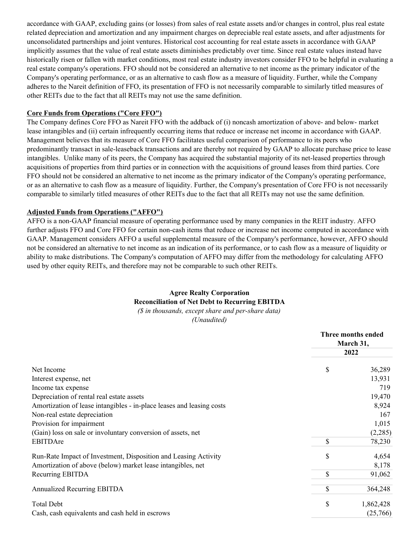accordance with GAAP, excluding gains (or losses) from sales of real estate assets and/or changes in control, plus real estate related depreciation and amortization and any impairment charges on depreciable real estate assets, and after adjustments for unconsolidated partnerships and joint ventures. Historical cost accounting for real estate assets in accordance with GAAP implicitly assumes that the value of real estate assets diminishes predictably over time. Since real estate values instead have historically risen or fallen with market conditions, most real estate industry investors consider FFO to be helpful in evaluating a real estate company's operations. FFO should not be considered an alternative to net income as the primary indicator of the Company's operating performance, or as an alternative to cash flow as a measure of liquidity. Further, while the Company adheres to the Nareit definition of FFO, its presentation of FFO is not necessarily comparable to similarly titled measures of other REITs due to the fact that all REITs may not use the same definition.

#### **Core Funds from Operations ("Core FFO")**

The Company defines Core FFO as Nareit FFO with the addback of (i) noncash amortization of above- and below- market lease intangibles and (ii) certain infrequently occurring items that reduce or increase net income in accordance with GAAP. Management believes that its measure of Core FFO facilitates useful comparison of performance to its peers who predominantly transact in sale-leaseback transactions and are thereby not required by GAAP to allocate purchase price to lease intangibles. Unlike many of its peers, the Company has acquired the substantial majority of its net-leased properties through acquisitions of properties from third parties or in connection with the acquisitions of ground leases from third parties. Core FFO should not be considered an alternative to net income as the primary indicator of the Company's operating performance, or as an alternative to cash flow as a measure of liquidity. Further, the Company's presentation of Core FFO is not necessarily comparable to similarly titled measures of other REITs due to the fact that all REITs may not use the same definition.

#### **Adjusted Funds from Operations ("AFFO")**

AFFO is a non-GAAP financial measure of operating performance used by many companies in the REIT industry. AFFO further adjusts FFO and Core FFO for certain non-cash items that reduce or increase net income computed in accordance with GAAP. Management considers AFFO a useful supplemental measure of the Company's performance, however, AFFO should not be considered an alternative to net income as an indication of its performance, or to cash flow as a measure of liquidity or ability to make distributions. The Company's computation of AFFO may differ from the methodology for calculating AFFO used by other equity REITs, and therefore may not be comparable to such other REITs.

#### **Agree Realty Corporation Reconciliation of Net Debt to Recurring EBITDA**

### *(\$ in thousands, except share and per-share data)*

*(Unaudited)*

|                                                                       | Three months ended<br>March 31, |           |  |
|-----------------------------------------------------------------------|---------------------------------|-----------|--|
|                                                                       |                                 | 2022      |  |
| Net Income                                                            | \$                              | 36,289    |  |
| Interest expense, net                                                 |                                 | 13,931    |  |
| Income tax expense                                                    |                                 | 719       |  |
| Depreciation of rental real estate assets                             |                                 | 19,470    |  |
| Amortization of lease intangibles - in-place leases and leasing costs |                                 | 8,924     |  |
| Non-real estate depreciation                                          |                                 | 167       |  |
| Provision for impairment                                              |                                 | 1,015     |  |
| (Gain) loss on sale or involuntary conversion of assets, net          |                                 | (2,285)   |  |
| EBITDAre                                                              | $\mathbb{S}$                    | 78,230    |  |
| Run-Rate Impact of Investment, Disposition and Leasing Activity       | \$                              | 4,654     |  |
| Amortization of above (below) market lease intangibles, net           |                                 | 8,178     |  |
| Recurring EBITDA                                                      | \$                              | 91,062    |  |
| <b>Annualized Recurring EBITDA</b>                                    | \$                              | 364,248   |  |
| <b>Total Debt</b>                                                     | \$                              | 1,862,428 |  |
| Cash, cash equivalents and cash held in escrows                       |                                 | (25,766)  |  |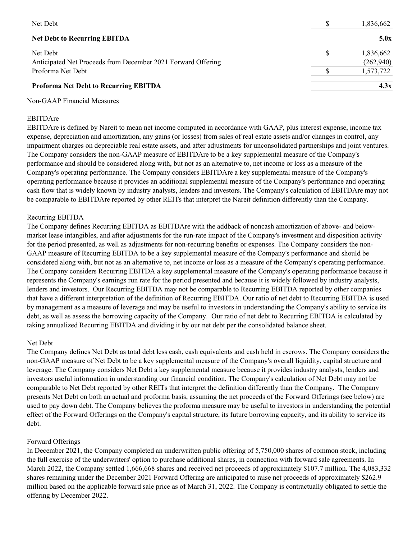| Net Debt                                                                 | 1,836,662                    |
|--------------------------------------------------------------------------|------------------------------|
| <b>Net Debt to Recurring EBITDA</b>                                      | 5.0x                         |
| Net Debt<br>Anticipated Net Proceeds from December 2021 Forward Offering | \$<br>1,836,662<br>(262,940) |
| Proforma Net Debt                                                        | 1,573,722                    |
| Proforma Net Debt to Recurring EBITDA                                    | 4.3x                         |
| Non-GAAP Financial Measures                                              |                              |

#### EBITDAre

EBITDAre is defined by Nareit to mean net income computed in accordance with GAAP, plus interest expense, income tax expense, depreciation and amortization, any gains (or losses) from sales of real estate assets and/or changes in control, any impairment charges on depreciable real estate assets, and after adjustments for unconsolidated partnerships and joint ventures. The Company considers the non-GAAP measure of EBITDAre to be a key supplemental measure of the Company's performance and should be considered along with, but not as an alternative to, net income or loss as a measure of the Company's operating performance. The Company considers EBITDAre a key supplemental measure of the Company's operating performance because it provides an additional supplemental measure of the Company's performance and operating cash flow that is widely known by industry analysts, lenders and investors. The Company's calculation of EBITDAre may not be comparable to EBITDAre reported by other REITs that interpret the Nareit definition differently than the Company.

#### Recurring EBITDA

The Company defines Recurring EBITDA as EBITDAre with the addback of noncash amortization of above- and belowmarket lease intangibles, and after adjustments for the run-rate impact of the Company's investment and disposition activity for the period presented, as well as adjustments for non-recurring benefits or expenses. The Company considers the non-GAAP measure of Recurring EBITDA to be a key supplemental measure of the Company's performance and should be considered along with, but not as an alternative to, net income or loss as a measure of the Company's operating performance. The Company considers Recurring EBITDA a key supplemental measure of the Company's operating performance because it represents the Company's earnings run rate for the period presented and because it is widely followed by industry analysts, lenders and investors. Our Recurring EBITDA may not be comparable to Recurring EBITDA reported by other companies that have a different interpretation of the definition of Recurring EBITDA. Our ratio of net debt to Recurring EBITDA is used by management as a measure of leverage and may be useful to investors in understanding the Company's ability to service its debt, as well as assess the borrowing capacity of the Company. Our ratio of net debt to Recurring EBITDA is calculated by taking annualized Recurring EBITDA and dividing it by our net debt per the consolidated balance sheet.

#### Net Debt

The Company defines Net Debt as total debt less cash, cash equivalents and cash held in escrows. The Company considers the non-GAAP measure of Net Debt to be a key supplemental measure of the Company's overall liquidity, capital structure and leverage. The Company considers Net Debt a key supplemental measure because it provides industry analysts, lenders and investors useful information in understanding our financial condition. The Company's calculation of Net Debt may not be comparable to Net Debt reported by other REITs that interpret the definition differently than the Company. The Company presents Net Debt on both an actual and proforma basis, assuming the net proceeds of the Forward Offerings (see below) are used to pay down debt. The Company believes the proforma measure may be useful to investors in understanding the potential effect of the Forward Offerings on the Company's capital structure, its future borrowing capacity, and its ability to service its debt.

#### Forward Offerings

In December 2021, the Company completed an underwritten public offering of 5,750,000 shares of common stock, including the full exercise of the underwriters' option to purchase additional shares, in connection with forward sale agreements. In March 2022, the Company settled 1,666,668 shares and received net proceeds of approximately \$107.7 million. The 4,083,332 shares remaining under the December 2021 Forward Offering are anticipated to raise net proceeds of approximately \$262.9 million based on the applicable forward sale price as of March 31, 2022. The Company is contractually obligated to settle the offering by December 2022.